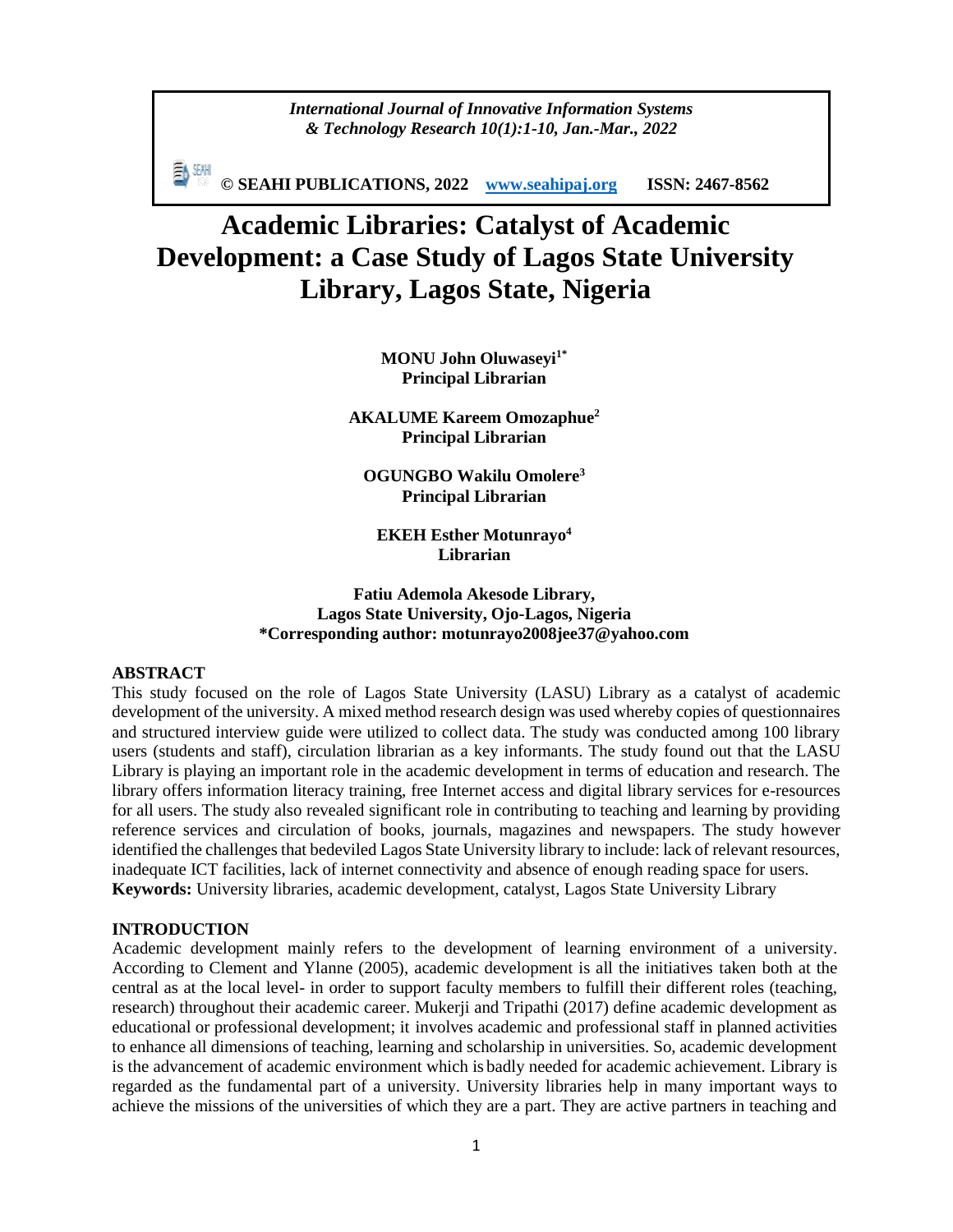*International Journal of Innovative Information Systems & Technology Research 10(1):1-10, Jan.-Mar., 2022*

≣ужн **© SEAHI PUBLICATIONS, 2022 [www.seahipaj.org](http://www.seahipaj.org/) ISSN: 2467-8562**

# **Academic Libraries: Catalyst of Academic Development: a Case Study of Lagos State University Library, Lagos State, Nigeria**

**MONU John Oluwaseyi1\* Principal Librarian**

**AKALUME Kareem Omozaphue<sup>2</sup> Principal Librarian**

**OGUNGBO Wakilu Omolere<sup>3</sup> Principal Librarian**

**EKEH Esther Motunrayo<sup>4</sup> Librarian**

## **Fatiu Ademola Akesode Library, Lagos State University, Ojo-Lagos, Nigeria \*Corresponding author: motunrayo2008jee37@yahoo.com**

#### **ABSTRACT**

This study focused on the role of Lagos State University (LASU) Library as a catalyst of academic development of the university. A mixed method research design was used whereby copies of questionnaires and structured interview guide were utilized to collect data. The study was conducted among 100 library users (students and staff), circulation librarian as a key informants. The study found out that the LASU Library is playing an important role in the academic development in terms of education and research. The library offers information literacy training, free Internet access and digital library services for e-resources for all users. The study also revealed significant role in contributing to teaching and learning by providing reference services and circulation of books, journals, magazines and newspapers. The study however identified the challenges that bedeviled Lagos State University library to include: lack of relevant resources, inadequate ICT facilities, lack of internet connectivity and absence of enough reading space for users. **Keywords:** University libraries, academic development, catalyst, Lagos State University Library

#### **INTRODUCTION**

Academic development mainly refers to the development of learning environment of a university. According to Clement and Ylanne (2005), academic development is all the initiatives taken both at the central as at the local level- in order to support faculty members to fulfill their different roles (teaching, research) throughout their academic career. Mukerji and Tripathi (2017) define academic development as educational or professional development; it involves academic and professional staff in planned activities to enhance all dimensions of teaching, learning and scholarship in universities. So, academic development is the advancement of academic environment which is badly needed for academic achievement. Library is regarded as the fundamental part of a university. University libraries help in many important ways to achieve the missions of the universities of which they are a part. They are active partners in teaching and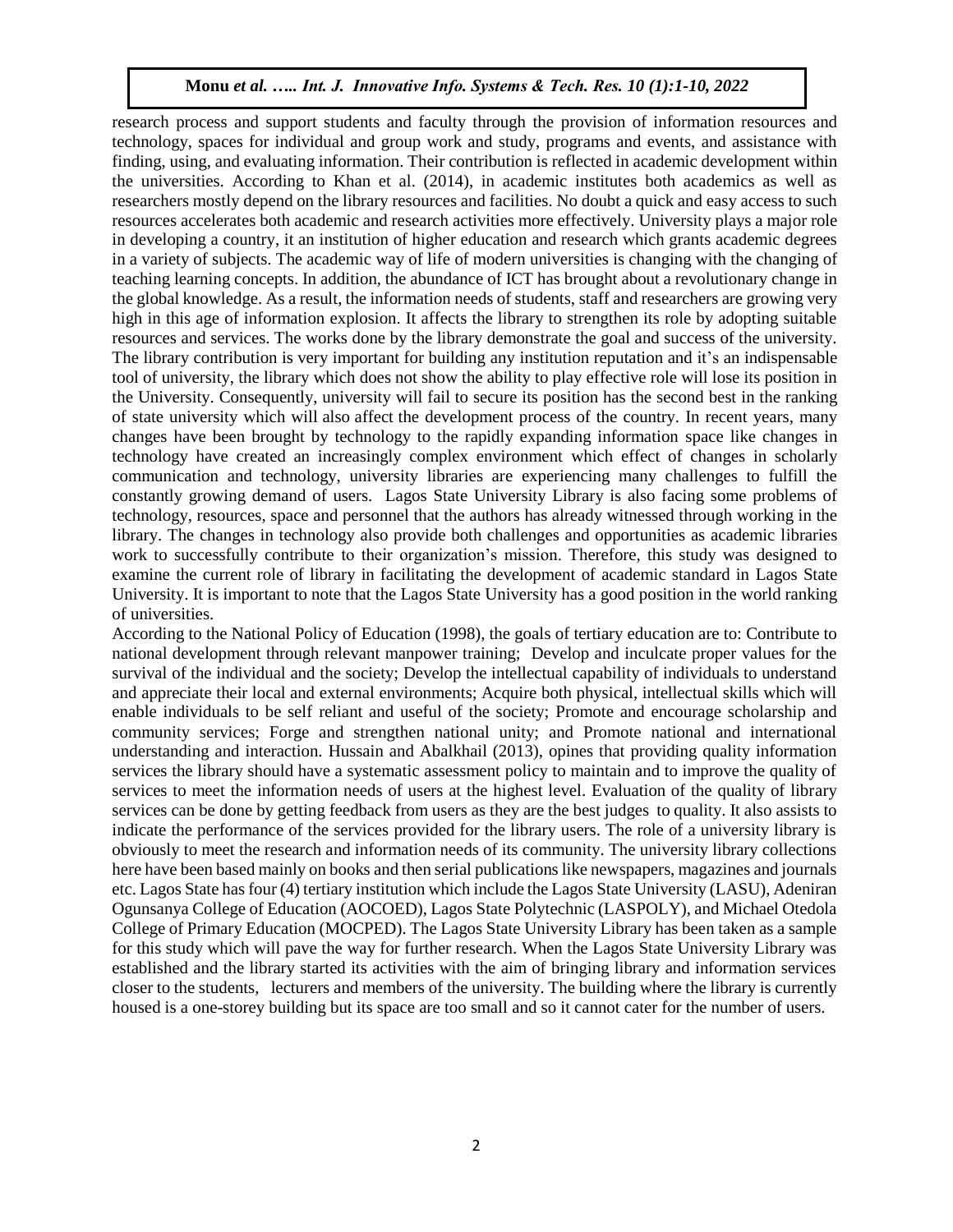research process and support students and faculty through the provision of information resources and technology, spaces for individual and group work and study, programs and events, and assistance with finding, using, and evaluating information. Their contribution is reflected in academic development within the universities. According to Khan et al. (2014), in academic institutes both academics as well as researchers mostly depend on the library resources and facilities. No doubt a quick and easy access to such resources accelerates both academic and research activities more effectively. University plays a major role in developing a country, it an institution of higher education and research which grants academic degrees in a variety of subjects. The academic way of life of modern universities is changing with the changing of teaching learning concepts. In addition, the abundance of ICT has brought about a revolutionary change in the global knowledge. As a result, the information needs of students, staff and researchers are growing very high in this age of information explosion. It affects the library to strengthen its role by adopting suitable resources and services. The works done by the library demonstrate the goal and success of the university. The library contribution is very important for building any institution reputation and it's an indispensable tool of university, the library which does not show the ability to play effective role will lose its position in the University. Consequently, university will fail to secure its position has the second best in the ranking of state university which will also affect the development process of the country. In recent years, many changes have been brought by technology to the rapidly expanding information space like changes in technology have created an increasingly complex environment which effect of changes in scholarly communication and technology, university libraries are experiencing many challenges to fulfill the constantly growing demand of users. Lagos State University Library is also facing some problems of technology, resources, space and personnel that the authors has already witnessed through working in the library. The changes in technology also provide both challenges and opportunities as academic libraries work to successfully contribute to their organization's mission. Therefore, this study was designed to examine the current role of library in facilitating the development of academic standard in Lagos State University. It is important to note that the Lagos State University has a good position in the world ranking of universities.

According to the National Policy of Education (1998), the goals of tertiary education are to: Contribute to national development through relevant manpower training; Develop and inculcate proper values for the survival of the individual and the society; Develop the intellectual capability of individuals to understand and appreciate their local and external environments; Acquire both physical, intellectual skills which will enable individuals to be self reliant and useful of the society; Promote and encourage scholarship and community services; Forge and strengthen national unity; and Promote national and international understanding and interaction. Hussain and Abalkhail (2013), opines that providing quality information services the library should have a systematic assessment policy to maintain and to improve the quality of services to meet the information needs of users at the highest level. Evaluation of the quality of library services can be done by getting feedback from users as they are the best judges to quality. It also assists to indicate the performance of the services provided for the library users. The role of a university library is obviously to meet the research and information needs of its community. The university library collections here have been based mainly on books and then serial publications like newspapers, magazines and journals etc. Lagos State has four (4) tertiary institution which include the Lagos State University (LASU), Adeniran Ogunsanya College of Education (AOCOED), Lagos State Polytechnic (LASPOLY), and Michael Otedola College of Primary Education (MOCPED). The Lagos State University Library has been taken as a sample for this study which will pave the way for further research. When the Lagos State University Library was established and the library started its activities with the aim of bringing library and information services closer to the students, lecturers and members of the university. The building where the library is currently housed is a one-storey building but its space are too small and so it cannot cater for the number of users.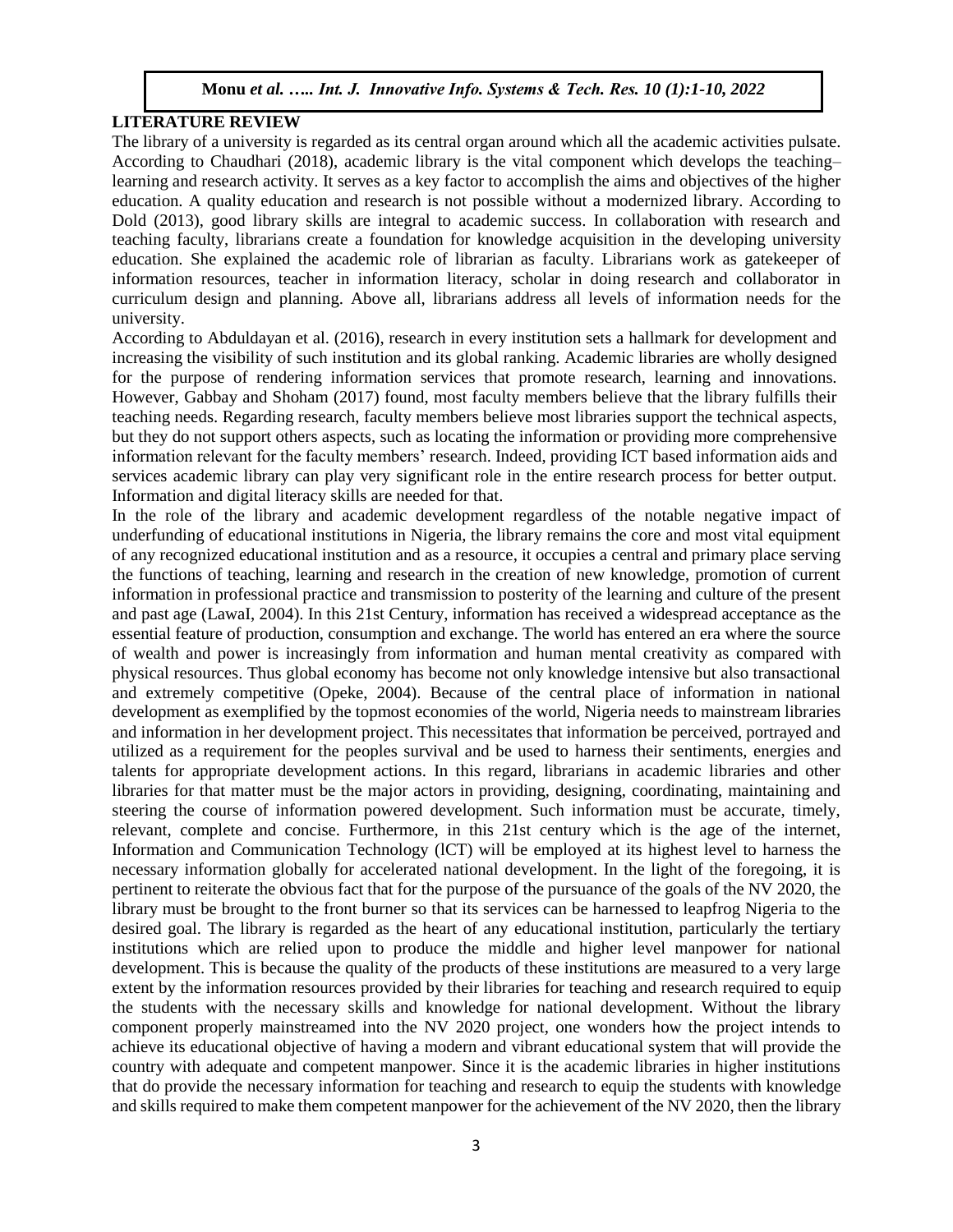#### **LITERATURE REVIEW**

The library of a university is regarded as its central organ around which all the academic activities pulsate. According to Chaudhari (2018), academic library is the vital component which develops the teaching– learning and research activity. It serves as a key factor to accomplish the aims and objectives of the higher education. A quality education and research is not possible without a modernized library. According to Dold (2013), good library skills are integral to academic success. In collaboration with research and teaching faculty, librarians create a foundation for knowledge acquisition in the developing university education. She explained the academic role of librarian as faculty. Librarians work as gatekeeper of information resources, teacher in information literacy, scholar in doing research and collaborator in curriculum design and planning. Above all, librarians address all levels of information needs for the university.

According to Abduldayan et al. (2016), research in every institution sets a hallmark for development and increasing the visibility of such institution and its global ranking. Academic libraries are wholly designed for the purpose of rendering information services that promote research, learning and innovations. However, Gabbay and Shoham (2017) found, most faculty members believe that the library fulfills their teaching needs. Regarding research, faculty members believe most libraries support the technical aspects, but they do not support others aspects, such as locating the information or providing more comprehensive information relevant for the faculty members' research. Indeed, providing ICT based information aids and services academic library can play very significant role in the entire research process for better output. Information and digital literacy skills are needed for that.

In the role of the library and academic development regardless of the notable negative impact of underfunding of educational institutions in Nigeria, the library remains the core and most vital equipment of any recognized educational institution and as a resource, it occupies a central and primary place serving the functions of teaching, learning and research in the creation of new knowledge, promotion of current information in professional practice and transmission to posterity of the learning and culture of the present and past age (LawaI, 2004). In this 21st Century, information has received a widespread acceptance as the essential feature of production, consumption and exchange. The world has entered an era where the source of wealth and power is increasingly from information and human mental creativity as compared with physical resources. Thus global economy has become not only knowledge intensive but also transactional and extremely competitive (Opeke, 2004). Because of the central place of information in national development as exemplified by the topmost economies of the world, Nigeria needs to mainstream libraries and information in her development project. This necessitates that information be perceived, portrayed and utilized as a requirement for the peoples survival and be used to harness their sentiments, energies and talents for appropriate development actions. In this regard, librarians in academic libraries and other libraries for that matter must be the major actors in providing, designing, coordinating, maintaining and steering the course of information powered development. Such information must be accurate, timely, relevant, complete and concise. Furthermore, in this 21st century which is the age of the internet, Information and Communication Technology (lCT) will be employed at its highest level to harness the necessary information globally for accelerated national development. In the light of the foregoing, it is pertinent to reiterate the obvious fact that for the purpose of the pursuance of the goals of the NV 2020, the library must be brought to the front burner so that its services can be harnessed to leapfrog Nigeria to the desired goal. The library is regarded as the heart of any educational institution, particularly the tertiary institutions which are relied upon to produce the middle and higher level manpower for national development. This is because the quality of the products of these institutions are measured to a very large extent by the information resources provided by their libraries for teaching and research required to equip the students with the necessary skills and knowledge for national development. Without the library component properly mainstreamed into the NV 2020 project, one wonders how the project intends to achieve its educational objective of having a modern and vibrant educational system that will provide the country with adequate and competent manpower. Since it is the academic libraries in higher institutions that do provide the necessary information for teaching and research to equip the students with knowledge and skills required to make them competent manpower for the achievement of the NV 2020, then the library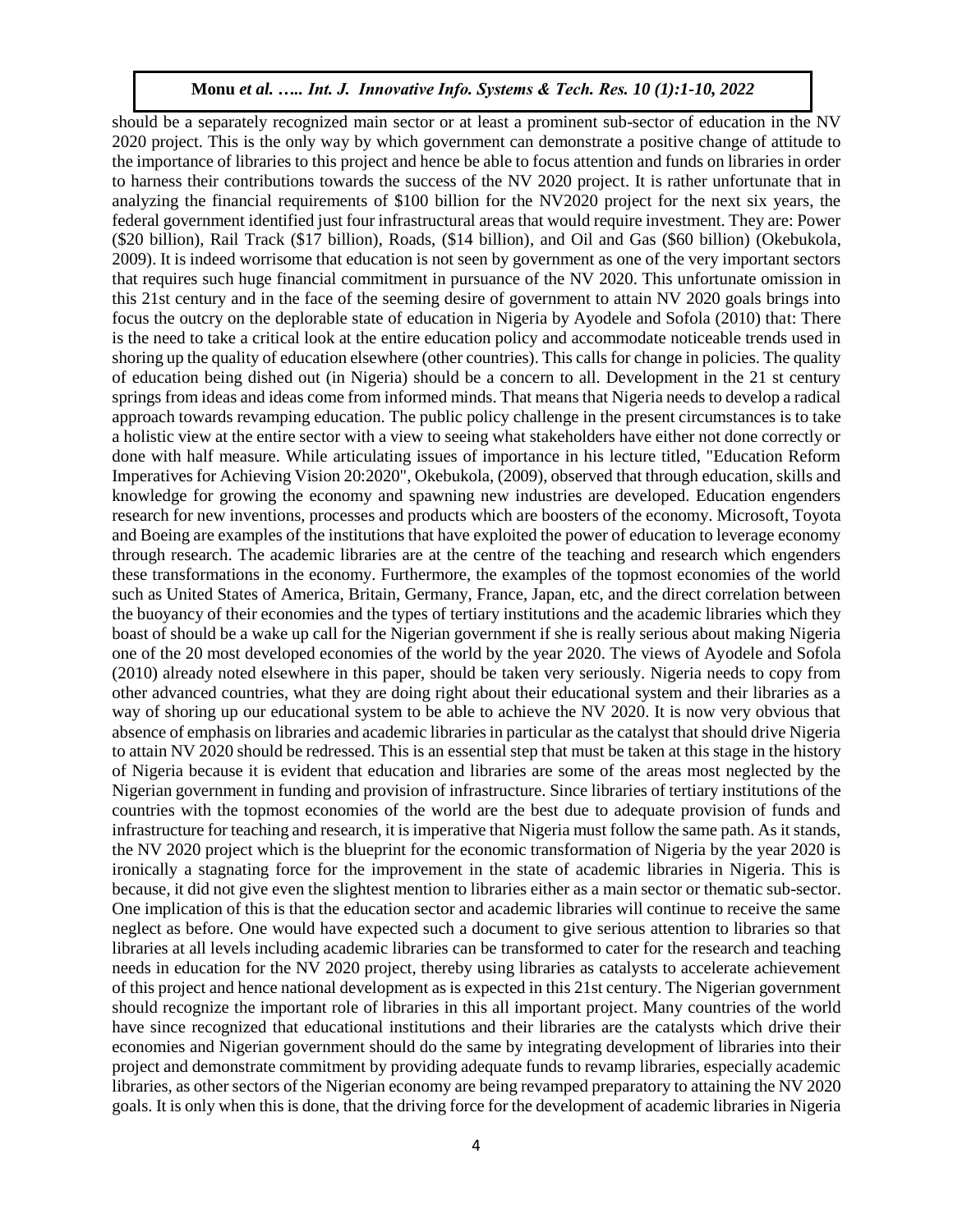should be a separately recognized main sector or at least a prominent sub-sector of education in the NV 2020 project. This is the only way by which government can demonstrate a positive change of attitude to the importance of libraries to this project and hence be able to focus attention and funds on libraries in order to harness their contributions towards the success of the NV 2020 project. It is rather unfortunate that in analyzing the financial requirements of \$100 billion for the NV2020 project for the next six years, the federal government identified just four infrastructural areas that would require investment. They are: Power (\$20 billion), Rail Track (\$17 billion), Roads, (\$14 billion), and Oil and Gas (\$60 billion) (Okebukola, 2009). It is indeed worrisome that education is not seen by government as one of the very important sectors that requires such huge financial commitment in pursuance of the NV 2020. This unfortunate omission in this 21st century and in the face of the seeming desire of government to attain NV 2020 goals brings into focus the outcry on the deplorable state of education in Nigeria by Ayodele and Sofola (2010) that: There is the need to take a critical look at the entire education policy and accommodate noticeable trends used in shoring up the quality of education elsewhere (other countries). This calls for change in policies. The quality of education being dished out (in Nigeria) should be a concern to all. Development in the 21 st century springs from ideas and ideas come from informed minds. That means that Nigeria needs to develop a radical approach towards revamping education. The public policy challenge in the present circumstances is to take a holistic view at the entire sector with a view to seeing what stakeholders have either not done correctly or done with half measure. While articulating issues of importance in his lecture titled, "Education Reform Imperatives for Achieving Vision 20:2020", Okebukola, (2009), observed that through education, skills and knowledge for growing the economy and spawning new industries are developed. Education engenders research for new inventions, processes and products which are boosters of the economy. Microsoft, Toyota and Boeing are examples of the institutions that have exploited the power of education to leverage economy through research. The academic libraries are at the centre of the teaching and research which engenders these transformations in the economy. Furthermore, the examples of the topmost economies of the world such as United States of America, Britain, Germany, France, Japan, etc, and the direct correlation between the buoyancy of their economies and the types of tertiary institutions and the academic libraries which they boast of should be a wake up call for the Nigerian government if she is really serious about making Nigeria one of the 20 most developed economies of the world by the year 2020. The views of Ayodele and Sofola (2010) already noted elsewhere in this paper, should be taken very seriously. Nigeria needs to copy from other advanced countries, what they are doing right about their educational system and their libraries as a way of shoring up our educational system to be able to achieve the NV 2020. It is now very obvious that absence of emphasis on libraries and academic libraries in particular as the catalyst that should drive Nigeria to attain NV 2020 should be redressed. This is an essential step that must be taken at this stage in the history of Nigeria because it is evident that education and libraries are some of the areas most neglected by the Nigerian government in funding and provision of infrastructure. Since libraries of tertiary institutions of the countries with the topmost economies of the world are the best due to adequate provision of funds and infrastructure for teaching and research, it is imperative that Nigeria must follow the same path. As it stands, the NV 2020 project which is the blueprint for the economic transformation of Nigeria by the year 2020 is ironically a stagnating force for the improvement in the state of academic libraries in Nigeria. This is because, it did not give even the slightest mention to libraries either as a main sector or thematic sub-sector. One implication of this is that the education sector and academic libraries will continue to receive the same neglect as before. One would have expected such a document to give serious attention to libraries so that libraries at all levels including academic libraries can be transformed to cater for the research and teaching needs in education for the NV 2020 project, thereby using libraries as catalysts to accelerate achievement of this project and hence national development as is expected in this 21st century. The Nigerian government should recognize the important role of libraries in this all important project. Many countries of the world have since recognized that educational institutions and their libraries are the catalysts which drive their economies and Nigerian government should do the same by integrating development of libraries into their project and demonstrate commitment by providing adequate funds to revamp libraries, especially academic libraries, as other sectors of the Nigerian economy are being revamped preparatory to attaining the NV 2020 goals. It is only when this is done, that the driving force for the development of academic libraries in Nigeria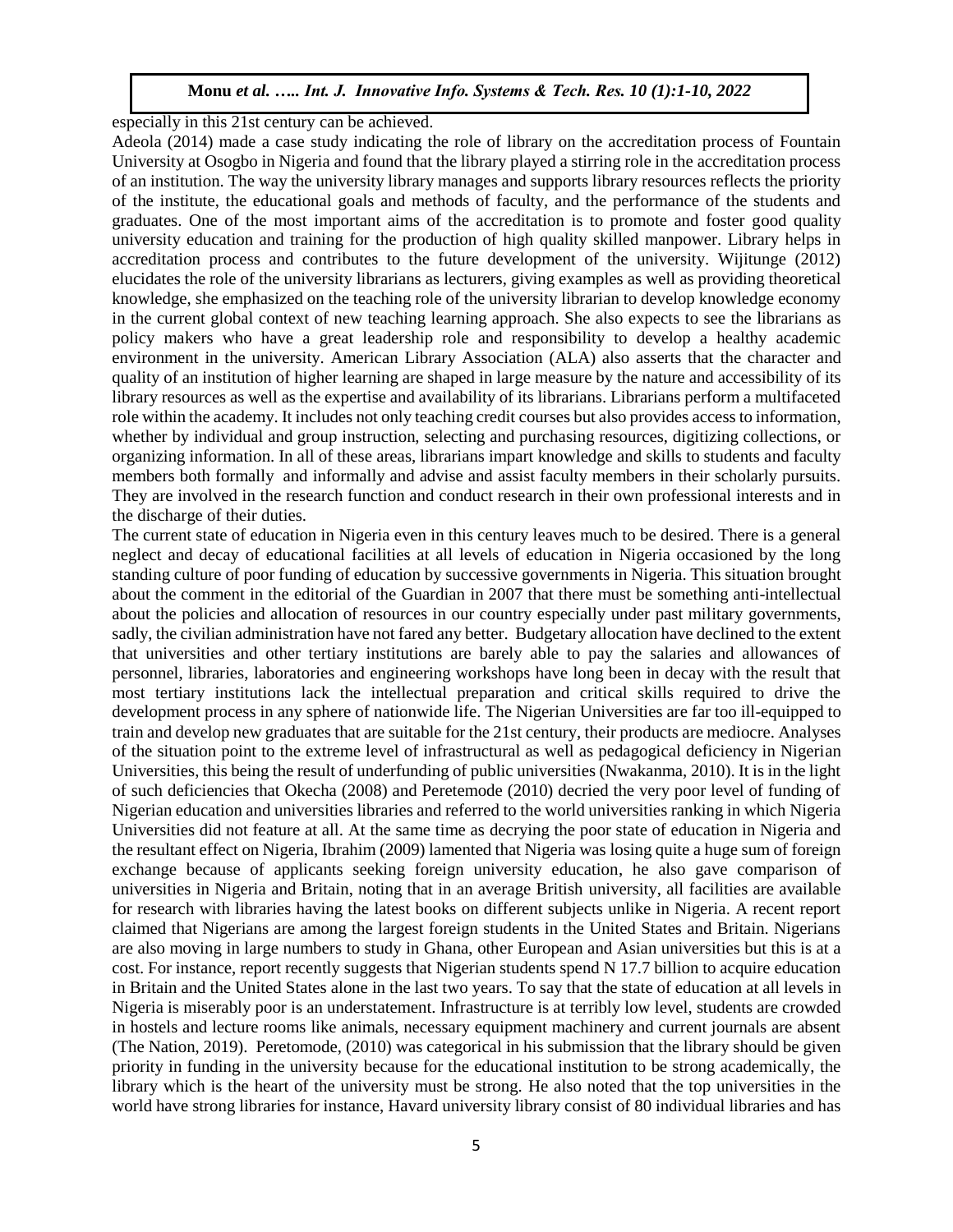especially in this 21st century can be achieved.

Adeola (2014) made a case study indicating the role of library on the accreditation process of Fountain University at Osogbo in Nigeria and found that the library played a stirring role in the accreditation process of an institution. The way the university library manages and supports library resources reflects the priority of the institute, the educational goals and methods of faculty, and the performance of the students and graduates. One of the most important aims of the accreditation is to promote and foster good quality university education and training for the production of high quality skilled manpower. Library helps in accreditation process and contributes to the future development of the university. Wijitunge (2012) elucidates the role of the university librarians as lecturers, giving examples as well as providing theoretical knowledge, she emphasized on the teaching role of the university librarian to develop knowledge economy in the current global context of new teaching learning approach. She also expects to see the librarians as policy makers who have a great leadership role and responsibility to develop a healthy academic environment in the university. American Library Association (ALA) also asserts that the character and quality of an institution of higher learning are shaped in large measure by the nature and accessibility of its library resources as well as the expertise and availability of its librarians. Librarians perform a multifaceted role within the academy. It includes not only teaching credit courses but also provides access to information, whether by individual and group instruction, selecting and purchasing resources, digitizing collections, or organizing information. In all of these areas, librarians impart knowledge and skills to students and faculty members both formally and informally and advise and assist faculty members in their scholarly pursuits. They are involved in the research function and conduct research in their own professional interests and in the discharge of their duties.

The current state of education in Nigeria even in this century leaves much to be desired. There is a general neglect and decay of educational facilities at all levels of education in Nigeria occasioned by the long standing culture of poor funding of education by successive governments in Nigeria. This situation brought about the comment in the editorial of the Guardian in 2007 that there must be something anti-intellectual about the policies and allocation of resources in our country especially under past military governments, sadly, the civilian administration have not fared any better. Budgetary allocation have declined to the extent that universities and other tertiary institutions are barely able to pay the salaries and allowances of personnel, libraries, laboratories and engineering workshops have long been in decay with the result that most tertiary institutions lack the intellectual preparation and critical skills required to drive the development process in any sphere of nationwide life. The Nigerian Universities are far too ill-equipped to train and develop new graduates that are suitable for the 21st century, their products are mediocre. Analyses of the situation point to the extreme level of infrastructural as well as pedagogical deficiency in Nigerian Universities, this being the result of underfunding of public universities (Nwakanma, 2010). It is in the light of such deficiencies that Okecha (2008) and Peretemode (2010) decried the very poor level of funding of Nigerian education and universities libraries and referred to the world universities ranking in which Nigeria Universities did not feature at all. At the same time as decrying the poor state of education in Nigeria and the resultant effect on Nigeria, Ibrahim (2009) lamented that Nigeria was losing quite a huge sum of foreign exchange because of applicants seeking foreign university education, he also gave comparison of universities in Nigeria and Britain, noting that in an average British university, all facilities are available for research with libraries having the latest books on different subjects unlike in Nigeria. A recent report claimed that Nigerians are among the largest foreign students in the United States and Britain. Nigerians are also moving in large numbers to study in Ghana, other European and Asian universities but this is at a cost. For instance, report recently suggests that Nigerian students spend N 17.7 billion to acquire education in Britain and the United States alone in the last two years. To say that the state of education at all levels in Nigeria is miserably poor is an understatement. Infrastructure is at terribly low level, students are crowded in hostels and lecture rooms like animals, necessary equipment machinery and current journals are absent (The Nation, 2019). Peretomode, (2010) was categorical in his submission that the library should be given priority in funding in the university because for the educational institution to be strong academically, the library which is the heart of the university must be strong. He also noted that the top universities in the world have strong libraries for instance, Havard university library consist of 80 individual libraries and has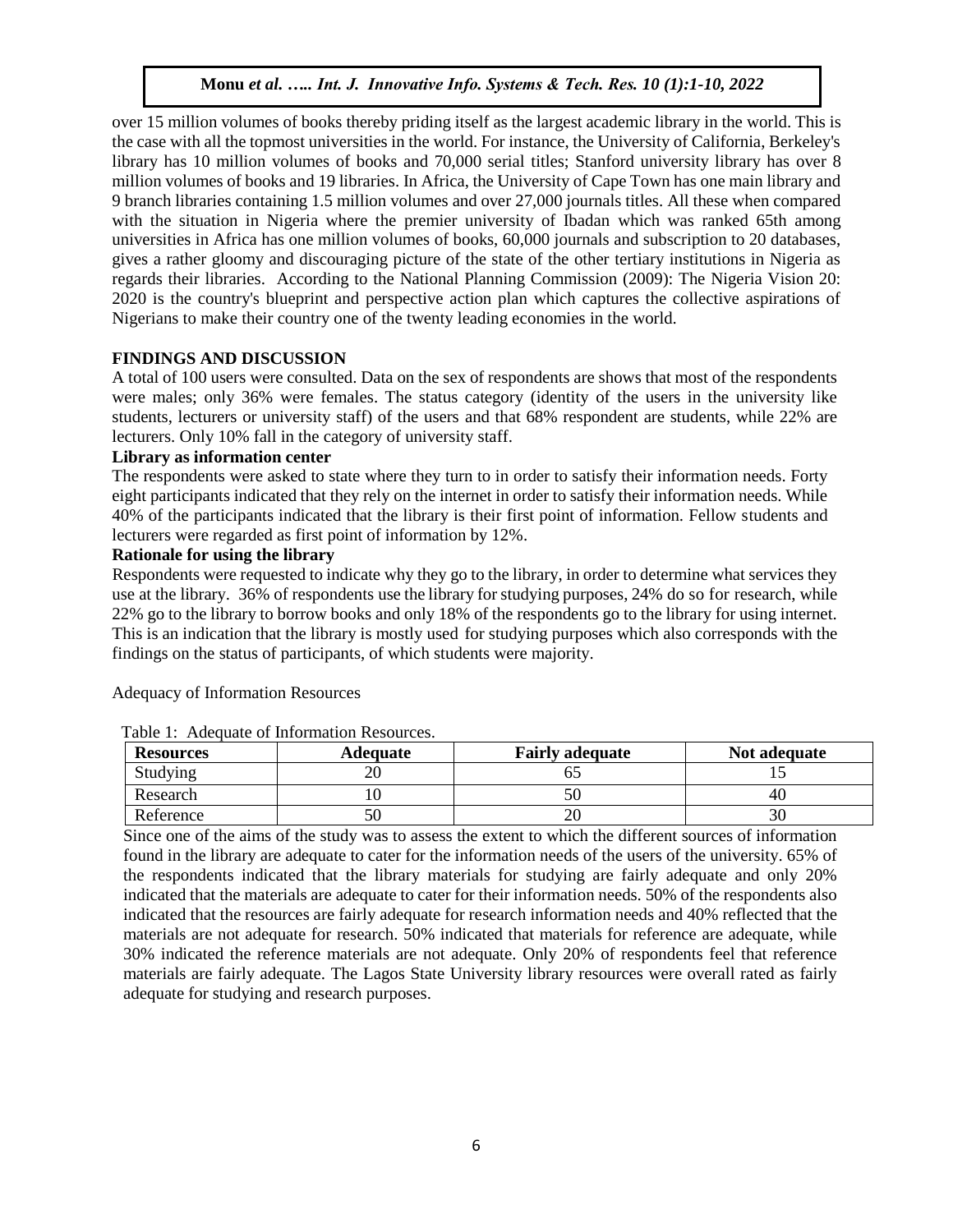over 15 million volumes of books thereby priding itself as the largest academic library in the world. This is the case with all the topmost universities in the world. For instance, the University of California, Berkeley's library has 10 million volumes of books and 70,000 serial titles; Stanford university library has over 8 million volumes of books and 19 libraries. In Africa, the University of Cape Town has one main library and 9 branch libraries containing 1.5 million volumes and over 27,000 journals titles. All these when compared with the situation in Nigeria where the premier university of Ibadan which was ranked 65th among universities in Africa has one million volumes of books, 60,000 journals and subscription to 20 databases, gives a rather gloomy and discouraging picture of the state of the other tertiary institutions in Nigeria as regards their libraries. According to the National Planning Commission (2009): The Nigeria Vision 20: 2020 is the country's blueprint and perspective action plan which captures the collective aspirations of Nigerians to make their country one of the twenty leading economies in the world.

## **FINDINGS AND DISCUSSION**

A total of 100 users were consulted. Data on the sex of respondents are shows that most of the respondents were males; only 36% were females. The status category (identity of the users in the university like students, lecturers or university staff) of the users and that 68% respondent are students, while 22% are lecturers. Only 10% fall in the category of university staff.

#### **Library as information center**

The respondents were asked to state where they turn to in order to satisfy their information needs. Forty eight participants indicated that they rely on the internet in order to satisfy their information needs. While 40% of the participants indicated that the library is their first point of information. Fellow students and lecturers were regarded as first point of information by 12%.

## **Rationale for using the library**

Respondents were requested to indicate why they go to the library, in order to determine what services they use at the library. 36% of respondents use the library for studying purposes, 24% do so for research, while 22% go to the library to borrow books and only 18% of the respondents go to the library for using internet. This is an indication that the library is mostly used for studying purposes which also corresponds with the findings on the status of participants, of which students were majority.

Adequacy of Information Resources

| <b>Resources</b> | <b>Adequate</b> | <b>Fairly adequate</b> | Not adequate |
|------------------|-----------------|------------------------|--------------|
| Studying         |                 |                        |              |
| Research         |                 |                        | 40           |
| Reference        |                 | ∠∪                     | 3U           |

Table 1: Adequate of Information Resources

Since one of the aims of the study was to assess the extent to which the different sources of information found in the library are adequate to cater for the information needs of the users of the university. 65% of the respondents indicated that the library materials for studying are fairly adequate and only 20% indicated that the materials are adequate to cater for their information needs. 50% of the respondents also indicated that the resources are fairly adequate for research information needs and 40% reflected that the materials are not adequate for research. 50% indicated that materials for reference are adequate, while 30% indicated the reference materials are not adequate. Only 20% of respondents feel that reference materials are fairly adequate. The Lagos State University library resources were overall rated as fairly adequate for studying and research purposes.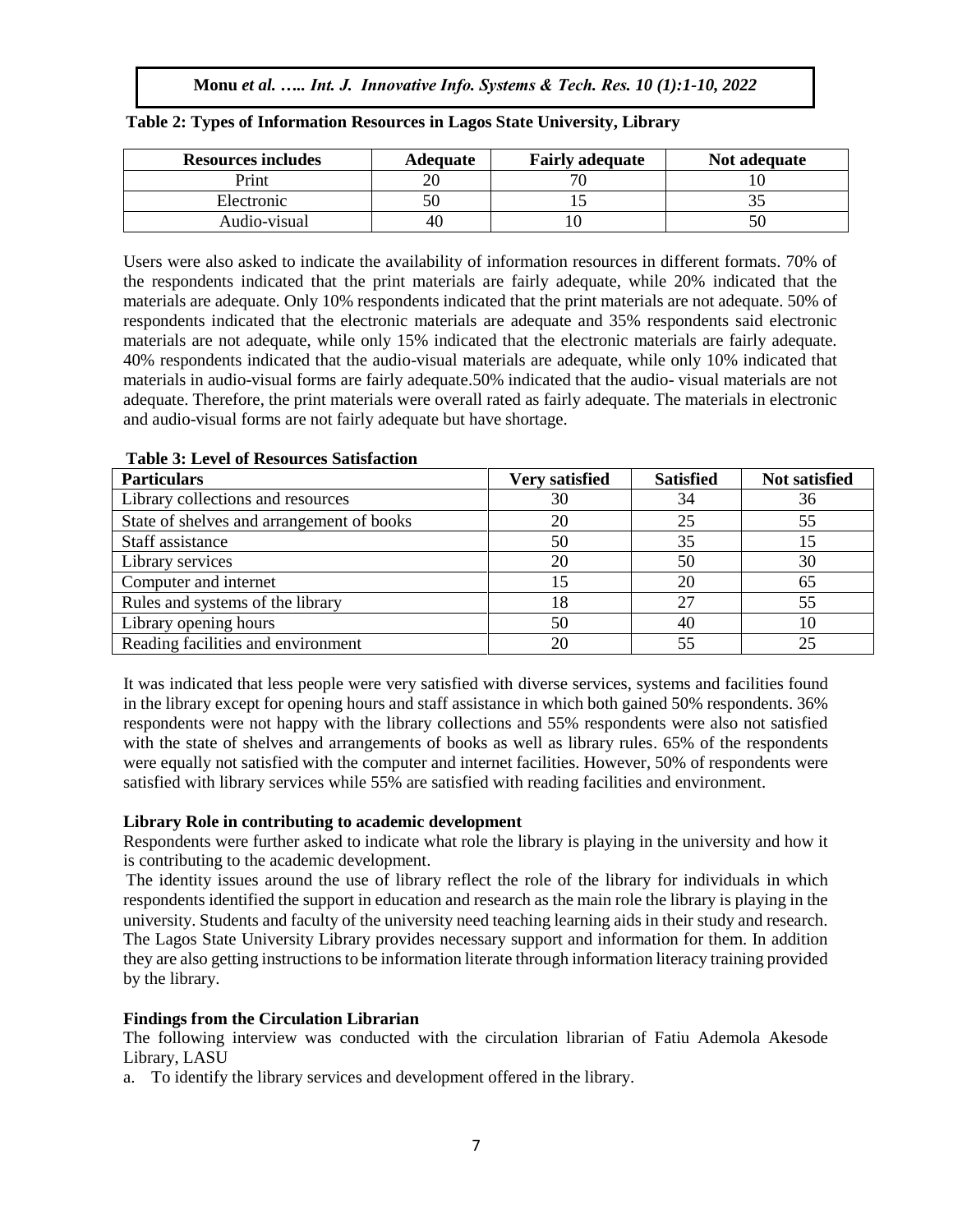| <b>Resources includes</b> | <b>Adequate</b> | <b>Fairly adequate</b> | Not adequate |
|---------------------------|-----------------|------------------------|--------------|
| Print                     |                 |                        |              |
| Electronic                |                 |                        |              |
| Audio-visual              | 40              |                        |              |

Users were also asked to indicate the availability of information resources in different formats. 70% of the respondents indicated that the print materials are fairly adequate, while 20% indicated that the materials are adequate. Only 10% respondents indicated that the print materials are not adequate. 50% of respondents indicated that the electronic materials are adequate and 35% respondents said electronic materials are not adequate, while only 15% indicated that the electronic materials are fairly adequate. 40% respondents indicated that the audio-visual materials are adequate, while only 10% indicated that materials in audio-visual forms are fairly adequate.50% indicated that the audio- visual materials are not adequate. Therefore, the print materials were overall rated as fairly adequate. The materials in electronic and audio-visual forms are not fairly adequate but have shortage.

| Table 5. Level of Resources Sausiaction   |                       |                  |                      |  |  |
|-------------------------------------------|-----------------------|------------------|----------------------|--|--|
| <b>Particulars</b>                        | <b>Very satisfied</b> | <b>Satisfied</b> | <b>Not satisfied</b> |  |  |
| Library collections and resources         | 30                    | 34               | 36                   |  |  |
| State of shelves and arrangement of books | 20                    | 25               | 55                   |  |  |
| Staff assistance                          | 50                    | 35               | 15                   |  |  |
| Library services                          | 20                    | 50               | 30                   |  |  |
| Computer and internet                     | 5                     | 20               | 65                   |  |  |
| Rules and systems of the library          | 18                    | 27               | 55                   |  |  |
| Library opening hours                     | 50                    | 40               | 10                   |  |  |
| Reading facilities and environment        | 20                    | 55               | 25                   |  |  |

## **Table 3: Level of Resources Satisfaction**

It was indicated that less people were very satisfied with diverse services, systems and facilities found in the library except for opening hours and staff assistance in which both gained 50% respondents. 36% respondents were not happy with the library collections and 55% respondents were also not satisfied with the state of shelves and arrangements of books as well as library rules. 65% of the respondents were equally not satisfied with the computer and internet facilities. However, 50% of respondents were satisfied with library services while 55% are satisfied with reading facilities and environment.

## **Library Role in contributing to academic development**

Respondents were further asked to indicate what role the library is playing in the university and how it is contributing to the academic development.

The identity issues around the use of library reflect the role of the library for individuals in which respondents identified the support in education and research as the main role the library is playing in the university. Students and faculty of the university need teaching learning aids in their study and research. The Lagos State University Library provides necessary support and information for them. In addition they are also getting instructions to be information literate through information literacy training provided by the library.

# **Findings from the Circulation Librarian**

The following interview was conducted with the circulation librarian of Fatiu Ademola Akesode Library, LASU

a. To identify the library services and development offered in the library.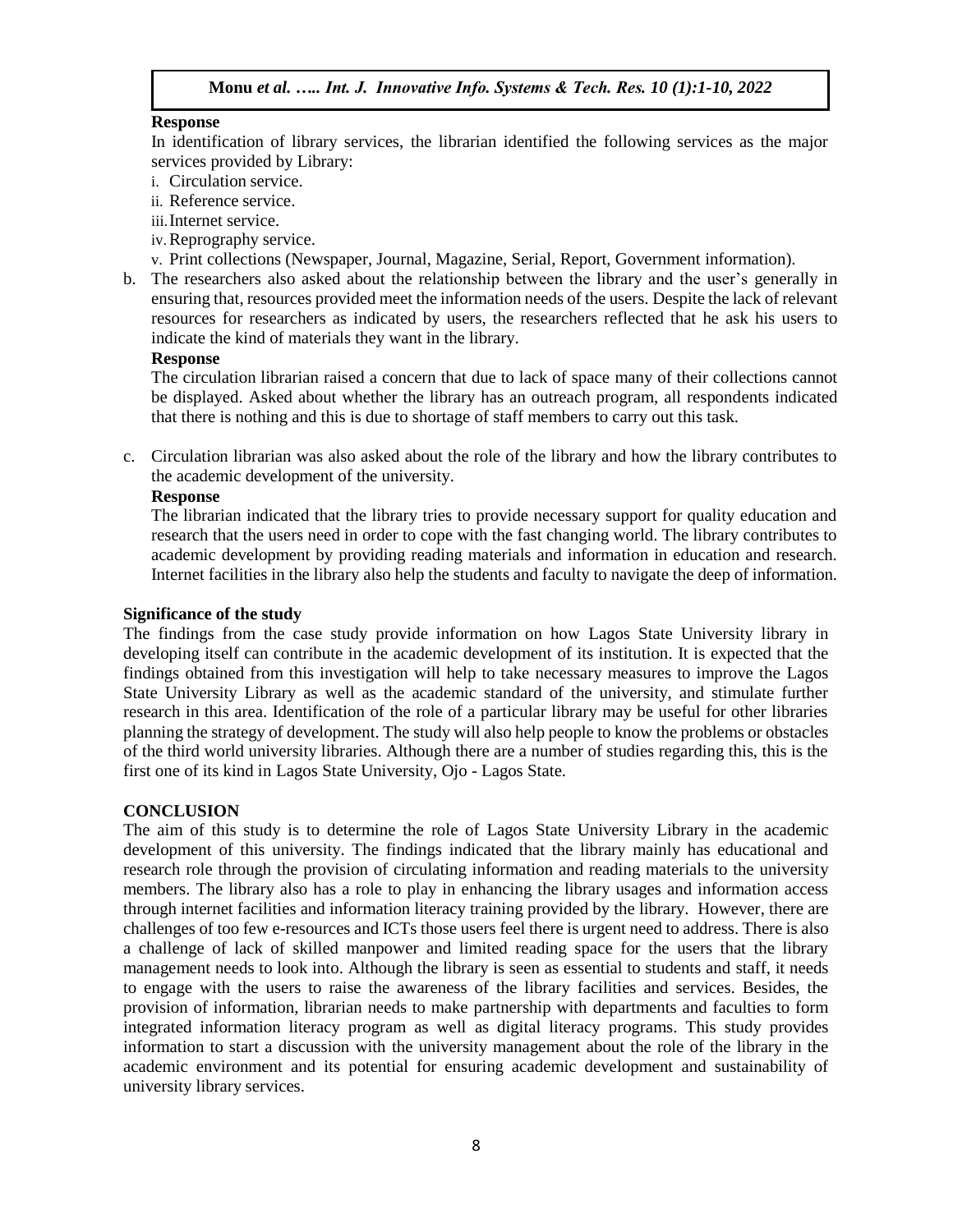#### **Response**

In identification of library services, the librarian identified the following services as the major services provided by Library:

- i. Circulation service.
- ii. Reference service.
- iii.Internet service.
- iv.Reprography service.
- v. Print collections (Newspaper, Journal, Magazine, Serial, Report, Government information).
- b. The researchers also asked about the relationship between the library and the user's generally in ensuring that, resources provided meet the information needs of the users. Despite the lack of relevant resources for researchers as indicated by users, the researchers reflected that he ask his users to indicate the kind of materials they want in the library.

#### **Response**

The circulation librarian raised a concern that due to lack of space many of their collections cannot be displayed. Asked about whether the library has an outreach program, all respondents indicated that there is nothing and this is due to shortage of staff members to carry out this task.

c. Circulation librarian was also asked about the role of the library and how the library contributes to the academic development of the university.

## **Response**

The librarian indicated that the library tries to provide necessary support for quality education and research that the users need in order to cope with the fast changing world. The library contributes to academic development by providing reading materials and information in education and research. Internet facilities in the library also help the students and faculty to navigate the deep of information.

#### **Significance of the study**

The findings from the case study provide information on how Lagos State University library in developing itself can contribute in the academic development of its institution. It is expected that the findings obtained from this investigation will help to take necessary measures to improve the Lagos State University Library as well as the academic standard of the university, and stimulate further research in this area. Identification of the role of a particular library may be useful for other libraries planning the strategy of development. The study will also help people to know the problems or obstacles of the third world university libraries. Although there are a number of studies regarding this, this is the first one of its kind in Lagos State University, Ojo - Lagos State.

## **CONCLUSION**

The aim of this study is to determine the role of Lagos State University Library in the academic development of this university. The findings indicated that the library mainly has educational and research role through the provision of circulating information and reading materials to the university members. The library also has a role to play in enhancing the library usages and information access through internet facilities and information literacy training provided by the library. However, there are challenges of too few e-resources and ICTs those users feel there is urgent need to address. There is also a challenge of lack of skilled manpower and limited reading space for the users that the library management needs to look into. Although the library is seen as essential to students and staff, it needs to engage with the users to raise the awareness of the library facilities and services. Besides, the provision of information, librarian needs to make partnership with departments and faculties to form integrated information literacy program as well as digital literacy programs. This study provides information to start a discussion with the university management about the role of the library in the academic environment and its potential for ensuring academic development and sustainability of university library services.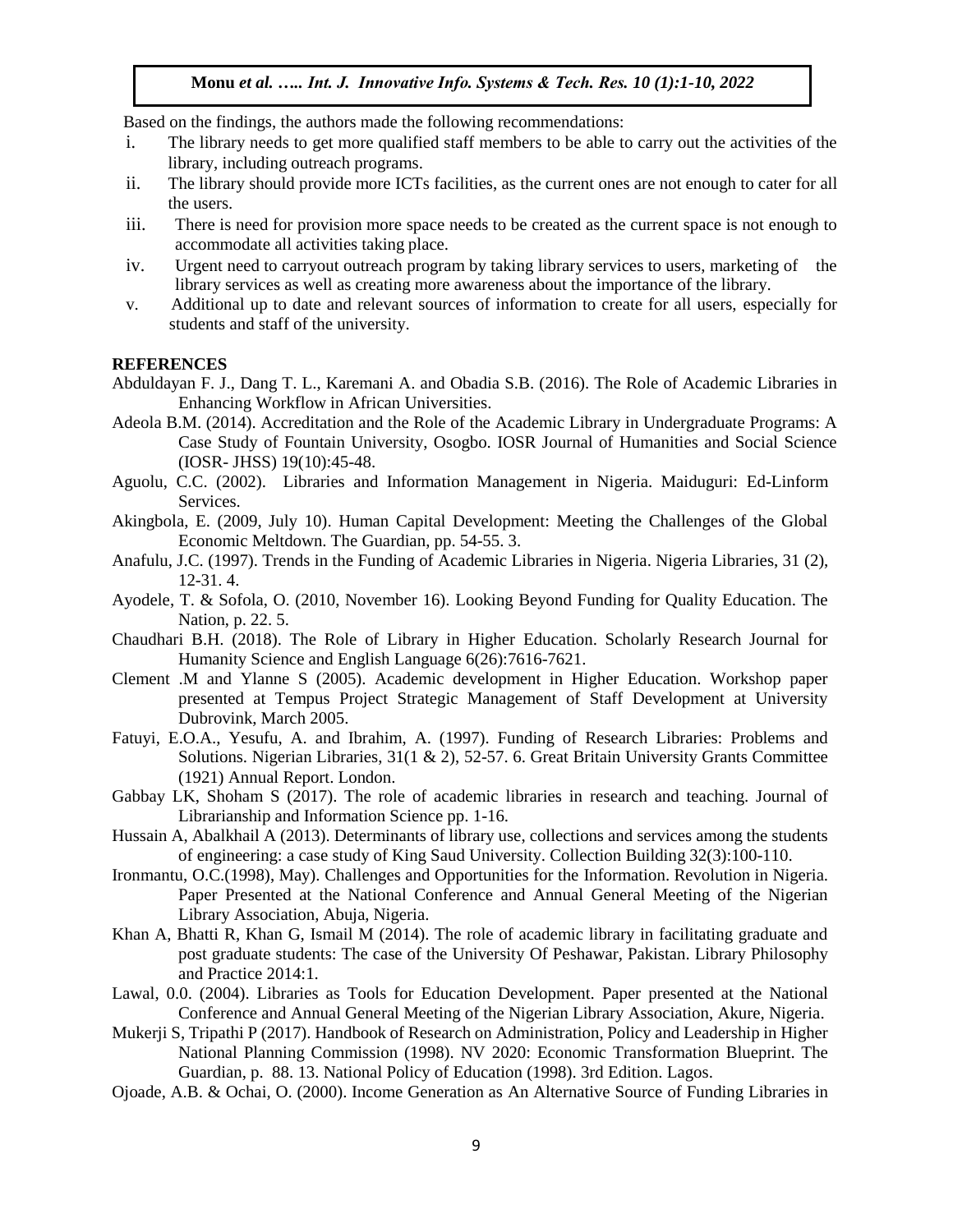Based on the findings, the authors made the following recommendations:

- i. The library needs to get more qualified staff members to be able to carry out the activities of the library, including outreach programs.
- ii. The library should provide more ICTs facilities, as the current ones are not enough to cater for all the users.
- iii. There is need for provision more space needs to be created as the current space is not enough to accommodate all activities taking place.
- iv. Urgent need to carryout outreach program by taking library services to users, marketing of the library services as well as creating more awareness about the importance of the library.
- v. Additional up to date and relevant sources of information to create for all users, especially for students and staff of the university.

#### **REFERENCES**

- Abduldayan F. J., Dang T. L., Karemani A. and Obadia S.B. (2016). The Role of Academic Libraries in Enhancing Workflow in African Universities.
- Adeola B.M. (2014). Accreditation and the Role of the Academic Library in Undergraduate Programs: A Case Study of Fountain University, Osogbo. IOSR Journal of Humanities and Social Science (IOSR- JHSS) 19(10):45-48.
- Aguolu, C.C. (2002). Libraries and Information Management in Nigeria. Maiduguri: Ed-Linform Services.
- Akingbola, E. (2009, July 10). Human Capital Development: Meeting the Challenges of the Global Economic Meltdown. The Guardian, pp. 54-55. 3.
- Anafulu, J.C. (1997). Trends in the Funding of Academic Libraries in Nigeria. Nigeria Libraries, 31 (2), 12-31. 4.
- Ayodele, T. & Sofola, O. (2010, November 16). Looking Beyond Funding for Quality Education. The Nation, p. 22. 5.
- Chaudhari B.H. (2018). The Role of Library in Higher Education. Scholarly Research Journal for Humanity Science and English Language 6(26):7616-7621.
- Clement .M and Ylanne S (2005). Academic development in Higher Education. Workshop paper presented at Tempus Project Strategic Management of Staff Development at University Dubrovink, March 2005.
- Fatuyi, E.O.A., Yesufu, A. and Ibrahim, A. (1997). Funding of Research Libraries: Problems and Solutions. Nigerian Libraries,  $31(1 \& 2)$ , 52-57. 6. Great Britain University Grants Committee (1921) Annual Report. London.
- Gabbay LK, Shoham S (2017). The role of academic libraries in research and teaching. Journal of Librarianship and Information Science pp. 1-16.
- Hussain A, Abalkhail A (2013). Determinants of library use, collections and services among the students of engineering: a case study of King Saud University. Collection Building 32(3):100-110.
- Ironmantu, O.C.(1998), May). Challenges and Opportunities for the Information. Revolution in Nigeria. Paper Presented at the National Conference and Annual General Meeting of the Nigerian Library Association, Abuja, Nigeria.
- Khan A, Bhatti R, Khan G, Ismail M (2014). The role of academic library in facilitating graduate and post graduate students: The case of the University Of Peshawar, Pakistan. Library Philosophy and Practice 2014:1.
- Lawal, 0.0. (2004). Libraries as Tools for Education Development. Paper presented at the National Conference and Annual General Meeting of the Nigerian Library Association, Akure, Nigeria.
- Mukerji S, Tripathi P (2017). Handbook of Research on Administration, Policy and Leadership in Higher National Planning Commission (1998). NV 2020: Economic Transformation Blueprint. The Guardian, p. 88. 13. National Policy of Education (1998). 3rd Edition. Lagos.
- Ojoade, A.B. & Ochai, O. (2000). Income Generation as An Alternative Source of Funding Libraries in